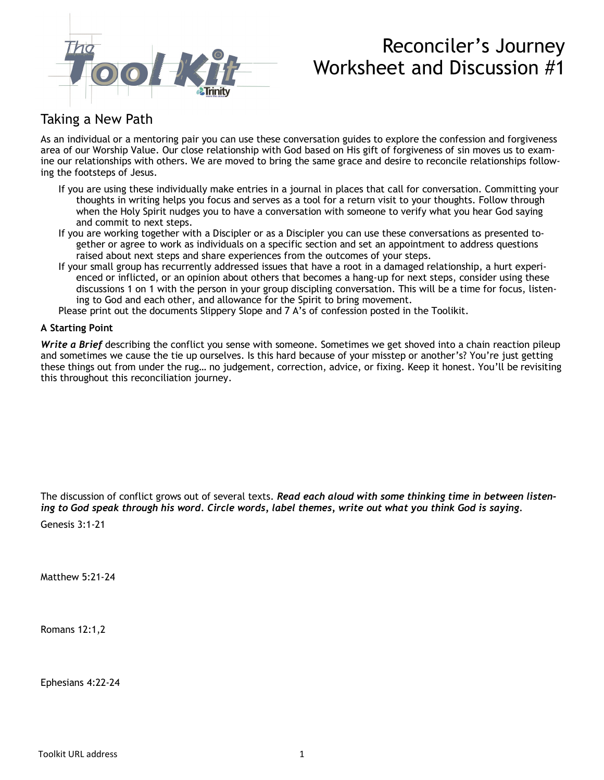

# Reconciler's Journey Worksheet and Discussion #1

## Taking a New Path

As an individual or a mentoring pair you can use these conversation guides to explore the confession and forgiveness area of our Worship Value. Our close relationship with God based on His gift of forgiveness of sin moves us to examine our relationships with others. We are moved to bring the same grace and desire to reconcile relationships following the footsteps of Jesus.

- If you are using these individually make entries in a journal in places that call for conversation. Committing your thoughts in writing helps you focus and serves as a tool for a return visit to your thoughts. Follow through when the Holy Spirit nudges you to have a conversation with someone to verify what you hear God saying and commit to next steps.
- If you are working together with a Discipler or as a Discipler you can use these conversations as presented together or agree to work as individuals on a specific section and set an appointment to address questions raised about next steps and share experiences from the outcomes of your steps.
- If your small group has recurrently addressed issues that have a root in a damaged relationship, a hurt experienced or inflicted, or an opinion about others that becomes a hang-up for next steps, consider using these discussions 1 on 1 with the person in your group discipling conversation. This will be a time for focus, listening to God and each other, and allowance for the Spirit to bring movement.

Please print out the documents Slippery Slope and 7 A's of confession posted in the Toolikit.

### **A Starting Point**

*Write a Brief* describing the conflict you sense with someone. Sometimes we get shoved into a chain reaction pileup and sometimes we cause the tie up ourselves. Is this hard because of your misstep or another's? You're just getting these things out from under the rug… no judgement, correction, advice, or fixing. Keep it honest. You'll be revisiting this throughout this reconciliation journey.

The discussion of conflict grows out of several texts. *Read each aloud with some thinking time in between listening to God speak through his word. Circle words, label themes, write out what you think God is saying.*

Genesis 3:1-21

Matthew 5:21-24

Romans 12:1,2

Ephesians 4:22-24